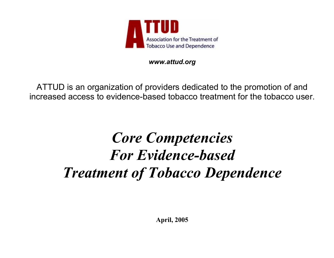

*www.attud.org* 

ATTUD is an organization of providers dedicated to the promotion of and increased access to evidence-based tobacco treatment for the tobacco user.

# *Core Competencies For Evidence-based Treatment of Tobacco Dependence*

**April, 2005**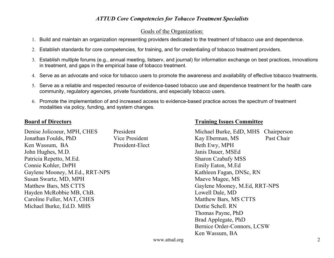#### Goals of the Organization:

- 1. Build and maintain an organization representing providers dedicated to the treatment of tobacco use and dependence.
- 2. Establish standards for core competencies, for training, and for credentialing of tobacco treatment providers.
- 3. Establish multiple forums (e.g., annual meeting, listserv, and journal) for information exchange on best practices, innovations in treatment, and gaps in the empirical base of tobacco treatment.
- 4. Serve as an advocate and voice for tobacco users to promote the awareness and availability of effective tobacco treatments.
- 5. Serve as a reliable and respected resource of evidence-based tobacco use and dependence treatment for the health care community, regulatory agencies, private foundations, and especially tobacco users.
- 6. Promote the implementation of and increased access to evidence-based practice across the spectrum of treatment modalities via policy, funding, and system changes.

Denise Jolicoeur, MPH, CHES President Jonathan Foulds, PhD Vice President Ken Wassum, BA President-Elect John Hughes, M.D. Patricia Repetto, M.Ed. Connie Kohler, DrPH Gaylene Mooney, M.Ed., RRT-NPS Susan Swartz, MD, MPH Matthew Bars, MS CTTS Hayden McRobbie MB, ChB. Caroline Fuller, MAT, CHES Michael Burke, Ed.D. MHS

#### **Board of Directors Training Issues Committee**

| Michael Burke, EdD, MHS       | Chairperson |
|-------------------------------|-------------|
| Kay Eberman, MS               | Past Chair  |
| Beth Ewy, MPH                 |             |
| Janis Dauer, MSEd             |             |
| <b>Sharon Czabafy MSS</b>     |             |
| Emily Eaton, M.Ed             |             |
| Kathleen Fagan, DNSc, RN      |             |
| Maeve Magee, MS               |             |
| Gaylene Mooney, M.Ed, RRT-NPS |             |
| Lowell Dale, MD               |             |
| Matthew Bars, MS CTTS         |             |
| Dottie Schell, RN             |             |
| Thomas Payne, PhD             |             |
| Brad Applegate, PhD           |             |
| Bernice Order-Connors, LCSW   |             |
| Ken Wassum, BA                |             |
|                               |             |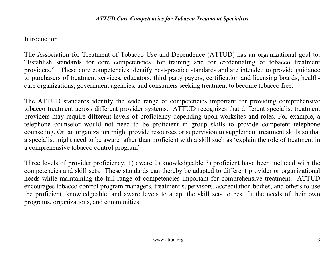# Introduction

The Association for Treatment of Tobacco Use and Dependence (ATTUD) has an organizational goal to: ìEstablish standards for core competencies, for training and for credentialing of tobacco treatment providers." These core competencies identify best-practice standards and are intended to provide guidance to purchasers of treatment services, educators, third party payers, certification and licensing boards, healthcare organizations, government agencies, and consumers seeking treatment to become tobacco free.

The ATTUD standards identify the wide range of competencies important for providing comprehensive tobacco treatment across different provider systems. ATTUD recognizes that different specialist treatment providers may require different levels of proficiency depending upon worksites and roles. For example, a telephone counselor would not need to be proficient in group skills to provide competent telephone counseling. Or, an organization might provide resources or supervision to supplement treatment skills so that a specialist might need to be aware rather than proficient with a skill such as ëexplain the role of treatment in a comprehensive tobacco control program<sup>3</sup>

Three levels of provider proficiency, 1) aware 2) knowledgeable 3) proficient have been included with the competencies and skill sets. These standards can thereby be adapted to different provider or organizational needs while maintaining the full range of competencies important for comprehensive treatment. ATTUD encourages tobacco control program managers, treatment supervisors, accreditation bodies, and others to use the proficient, knowledgeable, and aware levels to adapt the skill sets to best fit the needs of their own programs, organizations, and communities.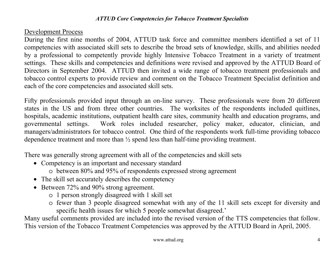## Development Process

During the first nine months of 2004, ATTUD task force and committee members identified a set of 11 competencies with associated skill sets to describe the broad sets of knowledge, skills, and abilities needed by a professional to competently provide highly Intensive Tobacco Treatment in a variety of treatment settings. These skills and competencies and definitions were revised and approved by the ATTUD Board of Directors in September 2004. ATTUD then invited a wide range of tobacco treatment professionals and tobacco control experts to provide review and comment on the Tobacco Treatment Specialist definition and each of the core competencies and associated skill sets.

Fifty professionals provided input through an on-line survey. These professionals were from 20 different states in the US and from three other countries. The worksites of the respondents included quitlines, hospitals, academic institutions, outpatient health care sites, community health and education programs, and governmental settings. Work roles included researcher, policy maker, educator, clinician, and managers/administrators for tobacco control. One third of the respondents work full-time providing tobacco dependence treatment and more than ½ spend less than half-time providing treatment.

There was generally strong agreement with all of the competencies and skill sets

- Competency is an important and necessary standard o between 80% and 95% of respondents expressed strong agreement
- The skill set accurately describes the competency
- Between 72% and 90% strong agreement.
	- o 1 person strongly disagreed with 1 skill set
	- o fewer than 3 people disagreed somewhat with any of the 11 skill sets except for diversity and specific health issues for which 5 people somewhat disagreed.<sup>7</sup>

Many useful comments provided are included into the revised version of the TTS competencies that follow. This version of the Tobacco Treatment Competencies was approved by the ATTUD Board in April, 2005.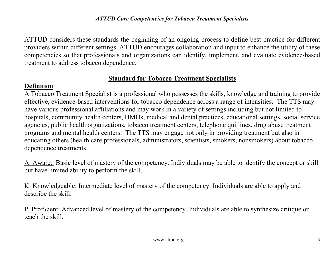ATTUD considers these standards the beginning of an ongoing process to define best practice for different providers within different settings. ATTUD encourages collaboration and input to enhance the utility of these competencies so that professionals and organizations can identify, implement, and evaluate evidence-based treatment to address tobacco dependence.

# **Standard for Tobacco Treatment Specialists**

# **Definition**:

A Tobacco Treatment Specialist is a professional who possesses the skills, knowledge and training to provide effective, evidence-based interventions for tobacco dependence across a range of intensities. The TTS may have various professional affiliations and may work in a variety of settings including but not limited to hospitals, community health centers, HMOs, medical and dental practices, educational settings, social service agencies, public health organizations, tobacco treatment centers, telephone quitlines, drug abuse treatment programs and mental health centers. The TTS may engage not only in providing treatment but also in educating others (health care professionals, administrators, scientists, smokers, nonsmokers) about tobacco dependence treatments.

A. Aware: Basic level of mastery of the competency. Individuals may be able to identify the concept or skill but have limited ability to perform the skill.

K. Knowledgeable: Intermediate level of mastery of the competency. Individuals are able to apply and describe the skill.

P. Proficient: Advanced level of mastery of the competency. Individuals are able to synthesize critique or teach the skill.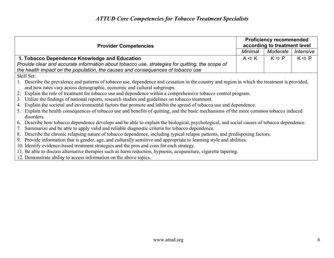| <b>Provider Competencies</b>                                                                                                                          |                   | <b>Proficiency recommended</b><br>according to treatment level |                       |  |
|-------------------------------------------------------------------------------------------------------------------------------------------------------|-------------------|----------------------------------------------------------------|-----------------------|--|
|                                                                                                                                                       | Minimal           | Moderate                                                       | Intensive             |  |
| 1. Tobacco Dependence Knowledge and Education                                                                                                         | $A \Rightarrow K$ | $K \Rightarrow P$                                              | $K \Leftrightarrow P$ |  |
| Provide clear and accurate information about tobacco use, strategies for quitting, the scope of                                                       |                   |                                                                |                       |  |
| the health impact on the population, the causes and consequences of tobacco use                                                                       |                   |                                                                |                       |  |
| Skill Set:                                                                                                                                            |                   |                                                                |                       |  |
| 1. Describe the prevalence and patterns of tobacco use, dependence and cessation in the country and region in which the treatment is provided,        |                   |                                                                |                       |  |
| and how rates vary across demographic, economic and cultural subgroups.                                                                               |                   |                                                                |                       |  |
| 2. Explain the role of treatment for tobacco use and dependence within a comprehensive tobacco control program.                                       |                   |                                                                |                       |  |
| 3. Utilize the findings of national reports, research studies and guidelines on tobacco treatment.                                                    |                   |                                                                |                       |  |
| 4. Explain the societal and environmental factors that promote and inhibit the spread of tobacco use and dependence.                                  |                   |                                                                |                       |  |
| 5. Explain the health consequences of tobacco use and benefits of quitting, and the basic mechanisms of the more common tobacco induced<br>disorders. |                   |                                                                |                       |  |
| 6. Describe how tobacco dependence develops and be able to explain the biological, psychological, and social causes of tobacco dependence.            |                   |                                                                |                       |  |
| 7. Summarize and be able to apply valid and reliable diagnostic criteria for tobacco dependence.                                                      |                   |                                                                |                       |  |
| 8. Describe the chronic relapsing nature of tobacco dependence, including typical relapse patterns, and predisposing factors.                         |                   |                                                                |                       |  |
| 9. Provide information that is gender, age, and culturally sensitive and appropriate to learning style and abilities.                                 |                   |                                                                |                       |  |
| 10. Identify evidence-based treatment strategies and the pros and cons for each strategy.                                                             |                   |                                                                |                       |  |
| 11. Be able to discuss alternative therapies such as harm reduction, hypnosis, acupuncture, cigarette tapering.                                       |                   |                                                                |                       |  |
| 12. Demonstrate ability to access information on the above topics.                                                                                    |                   |                                                                |                       |  |
|                                                                                                                                                       |                   |                                                                |                       |  |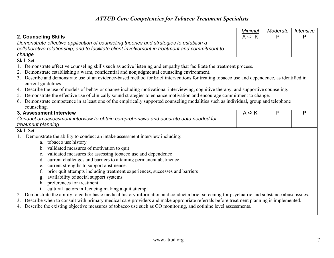|                                                                                                                                                                      | Minimal                                                                                                                                  | Moderate | Intensive |
|----------------------------------------------------------------------------------------------------------------------------------------------------------------------|------------------------------------------------------------------------------------------------------------------------------------------|----------|-----------|
| 2. Counseling Skills                                                                                                                                                 |                                                                                                                                          | P        | P         |
| Demonstrate effective application of counseling theories and strategies to establish a                                                                               |                                                                                                                                          |          |           |
| collaborative relationship, and to facilitate client involvement in treatment and commitment to                                                                      |                                                                                                                                          |          |           |
| change                                                                                                                                                               |                                                                                                                                          |          |           |
| Skill Set:                                                                                                                                                           |                                                                                                                                          |          |           |
| 1. Demonstrate effective counseling skills such as active listening and empathy that facilitate the treatment process.                                               |                                                                                                                                          |          |           |
| 2. Demonstrate establishing a warm, confidential and nonjudgmental counseling environment.                                                                           |                                                                                                                                          |          |           |
| 3. Describe and demonstrate use of an evidence-based method for brief interventions for treating tobacco use and dependence, as identified in<br>current guidelines. |                                                                                                                                          |          |           |
| 4. Describe the use of models of behavior change including motivational interviewing, cognitive therapy, and supportive counseling.                                  |                                                                                                                                          |          |           |
| 5. Demonstrate the effective use of clinically sound strategies to enhance motivation and encourage commitment to change.                                            |                                                                                                                                          |          |           |
| 6. Demonstrate competence in at least one of the empirically supported counseling modalities such as individual, group and telephone                                 |                                                                                                                                          |          |           |
| counseling.                                                                                                                                                          |                                                                                                                                          |          |           |
| 3. Assessment Interview                                                                                                                                              | $A \Leftrightarrow K$                                                                                                                    | P        | P         |
| Conduct an assessment interview to obtain comprehensive and accurate data needed for                                                                                 |                                                                                                                                          |          |           |
| treatment planning                                                                                                                                                   |                                                                                                                                          |          |           |
| Skill Set:                                                                                                                                                           |                                                                                                                                          |          |           |
| Demonstrate the ability to conduct an intake assessment interview including:<br>1.                                                                                   |                                                                                                                                          |          |           |
| a. tobacco use history                                                                                                                                               |                                                                                                                                          |          |           |
| validated measures of motivation to quit<br>$b_{\cdot}$                                                                                                              |                                                                                                                                          |          |           |
| validated measures for assessing tobacco use and dependence<br>c.                                                                                                    |                                                                                                                                          |          |           |
| current challenges and barriers to attaining permanent abstinence<br>d.                                                                                              |                                                                                                                                          |          |           |
| current strengths to support abstinence.<br>e.                                                                                                                       |                                                                                                                                          |          |           |
| prior quit attempts including treatment experiences, successes and barriers<br>f.                                                                                    |                                                                                                                                          |          |           |
| availability of social support systems<br>g.                                                                                                                         |                                                                                                                                          |          |           |
| h. preferences for treatment.                                                                                                                                        |                                                                                                                                          |          |           |
| cultural factors influencing making a quit attempt<br>$\mathbf{1}$ .                                                                                                 |                                                                                                                                          |          |           |
| 2. Demonstrate the ability to gather basic medical history information and conduct a brief screening for psychiatric and substance abuse issues.                     |                                                                                                                                          |          |           |
|                                                                                                                                                                      | 3. Describe when to consult with primary medical care providers and make appropriate referrals before treatment planning is implemented. |          |           |
| 4. Describe the existing objective measures of tobacco use such as CO monitoring, and cotinine level assessments.                                                    |                                                                                                                                          |          |           |
|                                                                                                                                                                      |                                                                                                                                          |          |           |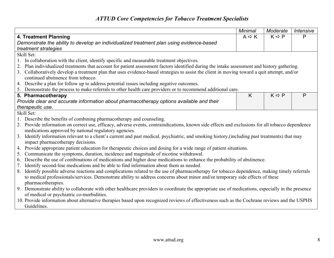|                                                                                                                                                    | <b>Minimal</b>        | Moderate                     | Intensive    |
|----------------------------------------------------------------------------------------------------------------------------------------------------|-----------------------|------------------------------|--------------|
| 4. Treatment Planning                                                                                                                              | $A \Leftrightarrow K$ | $K \Rightarrow P$            | P            |
| Demonstrate the ability to develop an individualized treatment plan using evidence-based                                                           |                       |                              |              |
| treatment strategies                                                                                                                               |                       |                              |              |
| Skill Set:                                                                                                                                         |                       |                              |              |
| In collaboration with the client, identify specific and measurable treatment objectives.                                                           |                       |                              |              |
| Plan individualized treatments that account for patient assessment factors identified during the intake assessment and history gathering.<br>2.    |                       |                              |              |
| 3. Collaboratively develop a treatment plan that uses evidence-based strategies to assist the client in moving toward a quit attempt, and/or       |                       |                              |              |
| continued abstinence from tobacco.                                                                                                                 |                       |                              |              |
| 4. Describe a plan for follow up to address potential issues including negative outcomes.                                                          |                       |                              |              |
| 5. Demonstrate the process to make referrals to other health care providers or to recommend additional care.                                       |                       |                              |              |
| 5. Pharmacotherapy                                                                                                                                 | K                     | $K \Rightarrow \overline{P}$ | $\mathsf{P}$ |
| Provide clear and accurate information about pharmacotherapy options available and their                                                           |                       |                              |              |
| therapeutic use.                                                                                                                                   |                       |                              |              |
| Skill Set:                                                                                                                                         |                       |                              |              |
| Describe the benefits of combining pharmacotherapy and counseling.                                                                                 |                       |                              |              |
| 2. Provide information on correct use, efficacy, adverse events, contraindications, known side effects and exclusions for all tobacco dependence   |                       |                              |              |
| medications approved by national regulatory agencies.                                                                                              |                       |                              |              |
| Identify information relevant to a client's current and past medical, psychiatric, and smoking history, (including past treatments) that may<br>3. |                       |                              |              |
| impact pharmacotherapy decisions.                                                                                                                  |                       |                              |              |
| Provide appropriate patient education for therapeutic choices and dosing for a wide range of patient situations.<br>4.                             |                       |                              |              |
| Communicate the symptoms, duration, incidence and magnitude of nicotine withdrawal.<br>5.                                                          |                       |                              |              |
| Describe the use of combinations of medications and higher dose medications to enhance the probability of abstinence.<br>6.                        |                       |                              |              |
| Identify second-line medications and be able to find information about them as needed.<br>7.                                                       |                       |                              |              |
| Identify possible adverse reactions and complications related to the use of pharmacotherapy for tobacco dependence, making timely referrals<br>8.  |                       |                              |              |
| to medical professionals/services. Demonstrate ability to address concerns about minor and/or temporary side effects of these                      |                       |                              |              |
| pharmacotherapies.                                                                                                                                 |                       |                              |              |
| 9. Demonstrate ability to collaborate with other healthcare providers to coordinate the appropriate use of medications, especially in the presence |                       |                              |              |
| of medical or psychiatric co-morbidities.                                                                                                          |                       |                              |              |
| 10. Provide information about alternative therapies based upon recognized reviews of effectiveness such as the Cochrane reviews and the USPHS      |                       |                              |              |
| Guidelines.                                                                                                                                        |                       |                              |              |
|                                                                                                                                                    |                       |                              |              |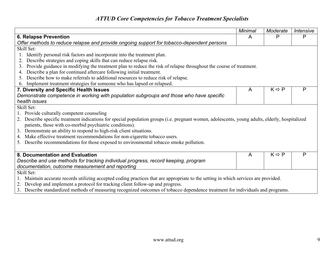|                                                                                                                                                 | Minimal | Moderate          | <b>Intensive</b> |  |
|-------------------------------------------------------------------------------------------------------------------------------------------------|---------|-------------------|------------------|--|
| <b>6. Relapse Prevention</b>                                                                                                                    |         | P                 | $\mathsf{P}$     |  |
| Offer methods to reduce relapse and provide ongoing support for tobacco-dependent persons                                                       |         |                   |                  |  |
| Skill Set:                                                                                                                                      |         |                   |                  |  |
| Identify personal risk factors and incorporate into the treatment plan.                                                                         |         |                   |                  |  |
| Describe strategies and coping skills that can reduce relapse risk.<br>2.                                                                       |         |                   |                  |  |
| Provide guidance in modifying the treatment plan to reduce the risk of relapse throughout the course of treatment.<br>3.                        |         |                   |                  |  |
| Describe a plan for continued aftercare following initial treatment.                                                                            |         |                   |                  |  |
| Describe how to make referrals to additional resources to reduce risk of relapse.<br>5                                                          |         |                   |                  |  |
| 6. Implement treatment strategies for someone who has lapsed or relapsed.                                                                       |         |                   |                  |  |
| 7. Diversity and Specific Health Issues                                                                                                         | A       | $K \Rightarrow P$ | P                |  |
| Demonstrate competence in working with population subgroups and those who have specific                                                         |         |                   |                  |  |
| health issues                                                                                                                                   |         |                   |                  |  |
| Skill Set:                                                                                                                                      |         |                   |                  |  |
| 1. Provide culturally competent counseling                                                                                                      |         |                   |                  |  |
| 2. Describe specific treatment indications for special population groups (i.e. pregnant women, adolescents, young adults, elderly, hospitalized |         |                   |                  |  |
| patients, those with co-morbid psychiatric conditions).                                                                                         |         |                   |                  |  |
| 3. Demonstrate an ability to respond to high-risk client situations.                                                                            |         |                   |                  |  |
| 4. Make effective treatment recommendations for non-cigarette tobacco users.                                                                    |         |                   |                  |  |
| 5. Describe recommendations for those exposed to environmental tobacco smoke pollution.                                                         |         |                   |                  |  |
|                                                                                                                                                 |         |                   |                  |  |
| 8. Documentation and Evaluation                                                                                                                 | A       | $K \Rightarrow P$ | $\mathsf{P}$     |  |
| Describe and use methods for tracking individual progress, record keeping, program                                                              |         |                   |                  |  |
| documentation, outcome measurement and reporting                                                                                                |         |                   |                  |  |
| Skill Set:                                                                                                                                      |         |                   |                  |  |
| 1. Maintain accurate records utilizing accepted coding practices that are appropriate to the setting in which services are provided.            |         |                   |                  |  |
| 2. Develop and implement a protocol for tracking client follow-up and progress.                                                                 |         |                   |                  |  |
| 3. Describe standardized methods of measuring recognized outcomes of tobacco dependence treatment for individuals and programs.                 |         |                   |                  |  |